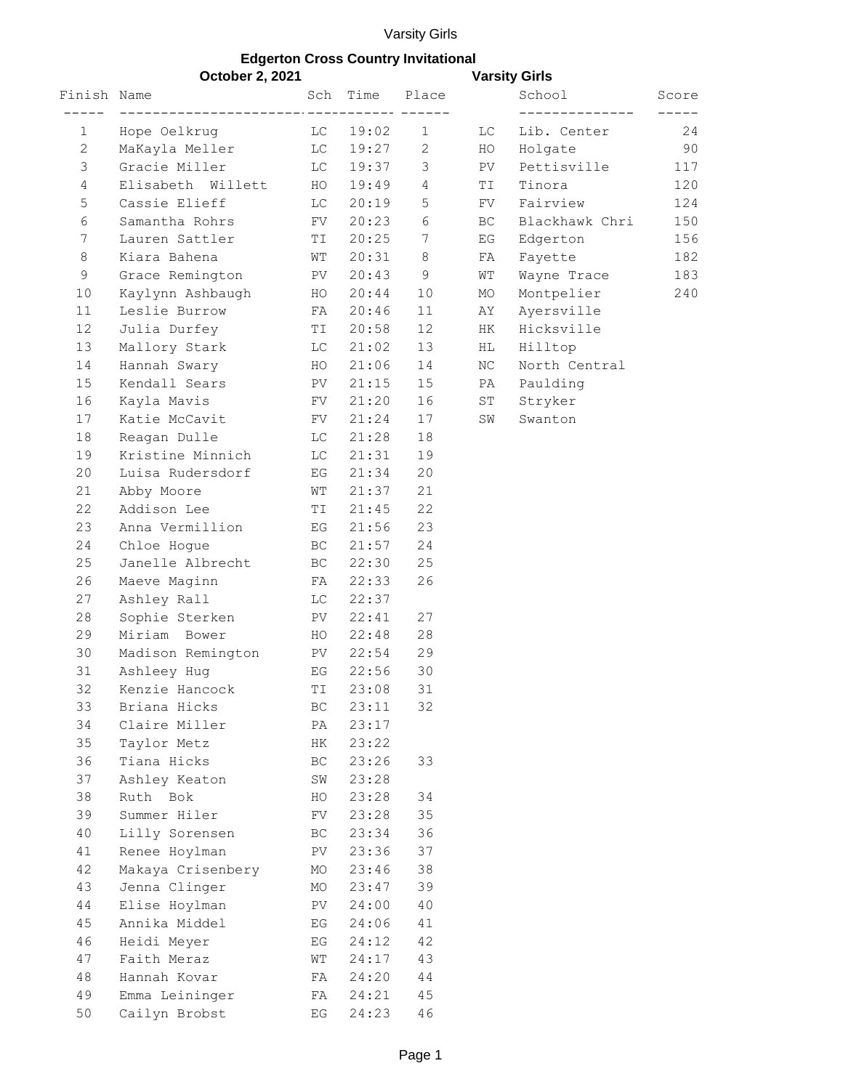## Varsity Girls

## **Edgerton Cross Country Invitational**

| <b>October 2, 2021</b> |                   |                           |                                   |                |     | <b>Varsity Girls</b> |       |
|------------------------|-------------------|---------------------------|-----------------------------------|----------------|-----|----------------------|-------|
| Finish Name            |                   | Sch                       | Time                              | Place          |     | School               | Score |
| 1                      | Hope Oelkrug      | LC                        | ----------------- ------<br>19:02 | $\mathbf{1}$   | LC. | Lib. Center          | 24    |
| $\mathbf{2}$           | MaKayla Meller    | LС                        | 19:27                             | 2              | HO  | Holgate              | 90    |
| 3                      | Gracie Miller     | LС                        | 19:37                             | 3              | PV  | Pettisville          | 117   |
| $\overline{4}$         | Elisabeth Willett | HO                        | 19:49                             | $\overline{4}$ | ΤI  | Tinora               | 120   |
| 5                      | Cassie Elieff     | LC                        | 20:19                             | 5              | FV  | Fairview             | 124   |
| 6                      | Samantha Rohrs    | FV                        | 20:23                             | 6              | BC. | Blackhawk Chri       | 150   |
| 7                      | Lauren Sattler    | TI                        | 20:25                             | 7              | ΕG  | Edgerton             | 156   |
| 8                      | Kiara Bahena      | WТ                        | 20:31                             | 8              | FA  | Fayette              | 182   |
| $\mathsf 9$            | Grace Remington   | PV                        | 20:43                             | 9              | WΤ  | Wayne Trace          | 183   |
| 10                     | Kaylynn Ashbaugh  | HO                        | 20:44                             | 10             | MO  | Montpelier           | 240   |
| 11                     | Leslie Burrow     | FA                        | 20:46                             | 11             | AΥ  | Ayersville           |       |
| 12                     | Julia Durfey      | TI                        | 20:58                             | 12             | HK  | Hicksville           |       |
| 13                     | Mallory Stark     | LC                        | 21:02                             | 13             | ΗL  | Hilltop              |       |
| 14                     | Hannah Swary      | HO                        | 21:06                             | 14             | NC  | North Central        |       |
| 15                     | Kendall Sears     | PV                        | 21:15                             | 15             | PA  | Paulding             |       |
| 16                     | Kayla Mavis       | FV                        | 21:20                             | 16             | ST  | Stryker              |       |
| 17                     | Katie McCavit     | FV                        | 21:24                             | 17             | SW  | Swanton              |       |
| 18                     | Reagan Dulle      | LС                        | 21:28                             | 18             |     |                      |       |
| 19                     | Kristine Minnich  | LС                        | 21:31                             | 19             |     |                      |       |
| 20                     | Luisa Rudersdorf  | ΕG                        | 21:34                             | 20             |     |                      |       |
| 21                     | Abby Moore        | WΤ                        | 21:37                             | 21             |     |                      |       |
| 22                     | Addison Lee       | ΤI                        | 21:45                             | 22             |     |                      |       |
| 23                     | Anna Vermillion   | ΕG                        | 21:56                             | 23             |     |                      |       |
| 24                     | Chloe Hogue       | BC                        | 21:57                             | 24             |     |                      |       |
| 25                     | Janelle Albrecht  | BC                        | 22:30                             | 25             |     |                      |       |
| 26                     | Maeve Maginn      | FA                        | 22:33                             | 26             |     |                      |       |
| 27                     | Ashley Rall       | LС                        | 22:37                             |                |     |                      |       |
| 28                     | Sophie Sterken    | PV                        | 22:41                             | 27             |     |                      |       |
| 29                     | Miriam Bower      | HO                        | 22:48                             | 28             |     |                      |       |
| 30                     | Madison Remington | PV                        | 22:54                             | 29             |     |                      |       |
| 31                     | Ashleey Hug       | EG                        | 22:56                             | 30             |     |                      |       |
| 32                     | Kenzie Hancock    | TI                        | 23:08                             | 31             |     |                      |       |
| 33                     | Briana Hicks      | BC                        | 23:11                             | 32             |     |                      |       |
| 34                     | Claire Miller     | PA                        | 23:17                             |                |     |                      |       |
| 35                     | Taylor Metz       | HК                        | 23:22                             |                |     |                      |       |
| 36                     | Tiana Hicks       | ВC                        | 23:26                             | 33             |     |                      |       |
| 37                     | Ashley Keaton     | SW                        | 23:28                             |                |     |                      |       |
| 38                     | Ruth Bok          | HO                        | 23:28                             | 34             |     |                      |       |
| 39                     | Summer Hiler      | FV                        | 23:28                             | 35             |     |                      |       |
| 40                     | Lilly Sorensen    | ВC                        | 23:34                             | 36             |     |                      |       |
| 41                     | Renee Hoylman     | PV                        | 23:36                             | 37             |     |                      |       |
| 42                     | Makaya Crisenbery | МO                        | 23:46                             | 38             |     |                      |       |
| 43                     | Jenna Clinger     | МO                        | 23:47                             | 39             |     |                      |       |
| 44                     | Elise Hoylman     | PV                        | 24:00                             | 40             |     |                      |       |
| 45                     | Annika Middel     | ΕG                        | 24:06                             | 41             |     |                      |       |
| 46                     | Heidi Meyer       | ΕG                        | 24:12                             | 42             |     |                      |       |
| 47                     | Faith Meraz       | WΤ                        | 24:17                             | 43             |     |                      |       |
| 48                     | Hannah Kovar      | FA                        | 24:20                             | 44             |     |                      |       |
| 49                     | Emma Leininger    | FA                        | 24:21                             | 45             |     |                      |       |
| 50                     | Cailyn Brobst     | $\mathop{\hbox{\rm E}} G$ | 24:23                             | 46             |     |                      |       |